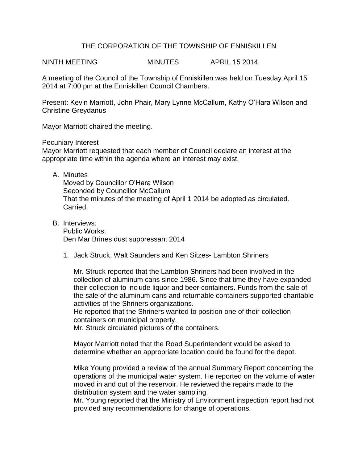## THE CORPORATION OF THE TOWNSHIP OF ENNISKILLEN

NINTH MEETING MINUTES APRIL 15 2014

A meeting of the Council of the Township of Enniskillen was held on Tuesday April 15 2014 at 7:00 pm at the Enniskillen Council Chambers.

Present: Kevin Marriott, John Phair, Mary Lynne McCallum, Kathy O'Hara Wilson and Christine Greydanus

Mayor Marriott chaired the meeting.

Pecuniary Interest

Mayor Marriott requested that each member of Council declare an interest at the appropriate time within the agenda where an interest may exist.

A. Minutes

Moved by Councillor O'Hara Wilson Seconded by Councillor McCallum That the minutes of the meeting of April 1 2014 be adopted as circulated. Carried.

- B. Interviews: Public Works: Den Mar Brines dust suppressant 2014
	- 1. Jack Struck, Walt Saunders and Ken Sitzes- Lambton Shriners

Mr. Struck reported that the Lambton Shriners had been involved in the collection of aluminum cans since 1986. Since that time they have expanded their collection to include liquor and beer containers. Funds from the sale of the sale of the aluminum cans and returnable containers supported charitable activities of the Shriners organizations.

He reported that the Shriners wanted to position one of their collection containers on municipal property.

Mr. Struck circulated pictures of the containers.

Mayor Marriott noted that the Road Superintendent would be asked to determine whether an appropriate location could be found for the depot.

Mike Young provided a review of the annual Summary Report concerning the operations of the municipal water system. He reported on the volume of water moved in and out of the reservoir. He reviewed the repairs made to the distribution system and the water sampling.

Mr. Young reported that the Ministry of Environment inspection report had not provided any recommendations for change of operations.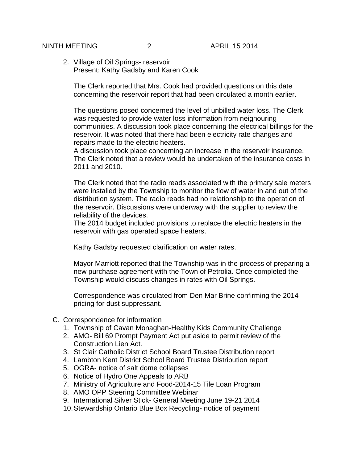2. Village of Oil Springs- reservoir Present: Kathy Gadsby and Karen Cook

The Clerk reported that Mrs. Cook had provided questions on this date concerning the reservoir report that had been circulated a month earlier.

The questions posed concerned the level of unbilled water loss. The Clerk was requested to provide water loss information from neighouring communities. A discussion took place concerning the electrical billings for the reservoir. It was noted that there had been electricity rate changes and repairs made to the electric heaters.

A discussion took place concerning an increase in the reservoir insurance. The Clerk noted that a review would be undertaken of the insurance costs in 2011 and 2010.

The Clerk noted that the radio reads associated with the primary sale meters were installed by the Township to monitor the flow of water in and out of the distribution system. The radio reads had no relationship to the operation of the reservoir. Discussions were underway with the supplier to review the reliability of the devices.

The 2014 budget included provisions to replace the electric heaters in the reservoir with gas operated space heaters.

Kathy Gadsby requested clarification on water rates.

Mayor Marriott reported that the Township was in the process of preparing a new purchase agreement with the Town of Petrolia. Once completed the Township would discuss changes in rates with Oil Springs.

Correspondence was circulated from Den Mar Brine confirming the 2014 pricing for dust suppressant.

- C. Correspondence for information
	- 1. Township of Cavan Monaghan-Healthy Kids Community Challenge
	- 2. AMO- Bill 69 Prompt Payment Act put aside to permit review of the Construction Lien Act.
	- 3. St Clair Catholic District School Board Trustee Distribution report
	- 4. Lambton Kent District School Board Trustee Distribution report
	- 5. OGRA- notice of salt dome collapses
	- 6. Notice of Hydro One Appeals to ARB
	- 7. Ministry of Agriculture and Food-2014-15 Tile Loan Program
	- 8. AMO OPP Steering Committee Webinar
	- 9. International Silver Stick- General Meeting June 19-21 2014
	- 10.Stewardship Ontario Blue Box Recycling- notice of payment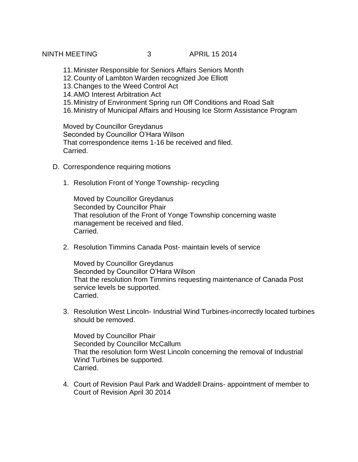NINTH MEETING 3 APRIL 15 2014

- 11.Minister Responsible for Seniors Affairs Seniors Month
- 12.County of Lambton Warden recognized Joe Elliott
- 13.Changes to the Weed Control Act
- 14.AMO Interest Arbitration Act
- 15.Ministry of Environment Spring run Off Conditions and Road Salt
- 16.Ministry of Municipal Affairs and Housing Ice Storm Assistance Program

Moved by Councillor Greydanus Seconded by Councillor O'Hara Wilson That correspondence items 1-16 be received and filed. Carried.

- D. Correspondence requiring motions
	- 1. Resolution Front of Yonge Township- recycling

Moved by Councillor Greydanus Seconded by Councillor Phair That resolution of the Front of Yonge Township concerning waste management be received and filed. Carried.

2. Resolution Timmins Canada Post- maintain levels of service

Moved by Councillor Greydanus Seconded by Councillor O'Hara Wilson That the resolution from Timmins requesting maintenance of Canada Post service levels be supported. Carried.

3. Resolution West Lincoln- Industrial Wind Turbines-incorrectly located turbines should be removed.

Moved by Councillor Phair Seconded by Councillor McCallum That the resolution form West Lincoln concerning the removal of Industrial Wind Turbines be supported. Carried.

4. Court of Revision Paul Park and Waddell Drains- appointment of member to Court of Revision April 30 2014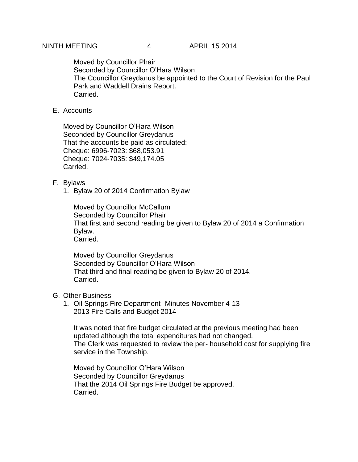Moved by Councillor Phair Seconded by Councillor O'Hara Wilson The Councillor Greydanus be appointed to the Court of Revision for the Paul Park and Waddell Drains Report. Carried.

E. Accounts

Moved by Councillor O'Hara Wilson Seconded by Councillor Greydanus That the accounts be paid as circulated: Cheque: 6996-7023: \$68,053.91 Cheque: 7024-7035: \$49,174.05 Carried.

## F. Bylaws

1. Bylaw 20 of 2014 Confirmation Bylaw

Moved by Councillor McCallum Seconded by Councillor Phair That first and second reading be given to Bylaw 20 of 2014 a Confirmation Bylaw. Carried.

Moved by Councillor Greydanus Seconded by Councillor O'Hara Wilson That third and final reading be given to Bylaw 20 of 2014. Carried.

## G. Other Business

1. Oil Springs Fire Department- Minutes November 4-13 2013 Fire Calls and Budget 2014-

It was noted that fire budget circulated at the previous meeting had been updated although the total expenditures had not changed. The Clerk was requested to review the per- household cost for supplying fire service in the Township.

Moved by Councillor O'Hara Wilson Seconded by Councillor Greydanus That the 2014 Oil Springs Fire Budget be approved. Carried.